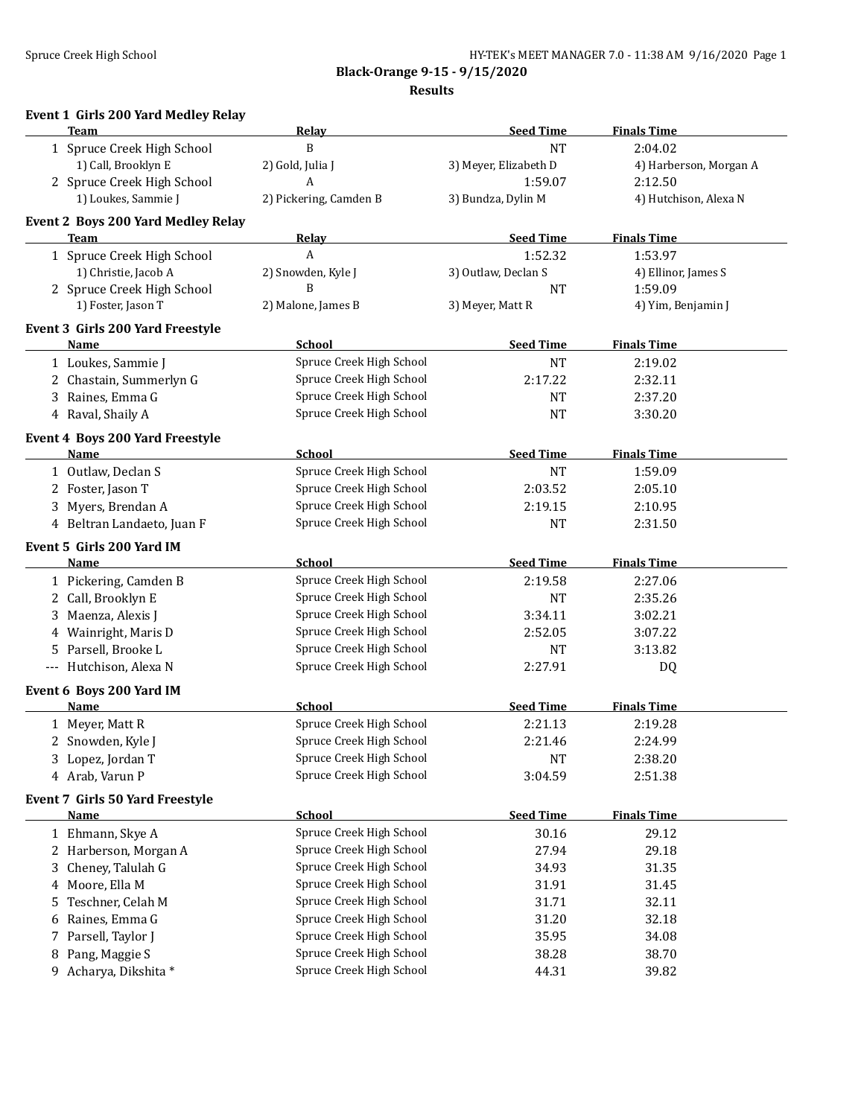**Black-Orange 9-15 - 9/15/2020**

**Results**

|  | <b>Event 1 Girls 200 Yard Medley Relay</b> |  |  |  |
|--|--------------------------------------------|--|--|--|
|--|--------------------------------------------|--|--|--|

| <b>Team</b>                               | <b>Relay</b>             | <b>Seed Time</b>      | <b>Finals Time</b>     |
|-------------------------------------------|--------------------------|-----------------------|------------------------|
| 1 Spruce Creek High School                | B                        | <b>NT</b>             | 2:04.02                |
| 1) Call, Brooklyn E                       | 2) Gold, Julia J         | 3) Meyer, Elizabeth D | 4) Harberson, Morgan A |
| 2 Spruce Creek High School                | A                        | 1:59.07               | 2:12.50                |
| 1) Loukes, Sammie J                       | 2) Pickering, Camden B   | 3) Bundza, Dylin M    | 4) Hutchison, Alexa N  |
| <b>Event 2 Boys 200 Yard Medley Relay</b> |                          |                       |                        |
| <b>Team</b>                               | <u>Relav</u>             | <b>Seed Time</b>      | <b>Finals Time</b>     |
| 1 Spruce Creek High School                | A                        | 1:52.32               | 1:53.97                |
| 1) Christie, Jacob A                      | 2) Snowden, Kyle J       | 3) Outlaw, Declan S   | 4) Ellinor, James S    |
| 2 Spruce Creek High School                | B                        | <b>NT</b>             | 1:59.09                |
| 1) Foster, Jason T                        | 2) Malone, James B       | 3) Meyer, Matt R      | 4) Yim, Benjamin J     |
| Event 3 Girls 200 Yard Freestyle          |                          |                       |                        |
| Name                                      | <b>School</b>            | <b>Seed Time</b>      | <b>Finals Time</b>     |
| 1 Loukes, Sammie J                        | Spruce Creek High School | <b>NT</b>             | 2:19.02                |
| 2 Chastain, Summerlyn G                   | Spruce Creek High School | 2:17.22               | 2:32.11                |
| 3 Raines, Emma G                          | Spruce Creek High School | <b>NT</b>             | 2:37.20                |
| 4 Raval, Shaily A                         | Spruce Creek High School | <b>NT</b>             | 3:30.20                |
| Event 4 Boys 200 Yard Freestyle           |                          |                       |                        |
| Name                                      | <b>School</b>            | <b>Seed Time</b>      | <b>Finals Time</b>     |
| 1 Outlaw, Declan S                        | Spruce Creek High School | <b>NT</b>             | 1:59.09                |
| 2 Foster, Jason T                         | Spruce Creek High School | 2:03.52               | 2:05.10                |
| 3 Myers, Brendan A                        | Spruce Creek High School | 2:19.15               | 2:10.95                |
| 4 Beltran Landaeto, Juan F                | Spruce Creek High School | <b>NT</b>             | 2:31.50                |
| Event 5 Girls 200 Yard IM                 |                          |                       |                        |
| <b>Name</b>                               | <b>School</b>            | <b>Seed Time</b>      | <b>Finals Time</b>     |
| 1 Pickering, Camden B                     | Spruce Creek High School | 2:19.58               | 2:27.06                |
| 2 Call, Brooklyn E                        | Spruce Creek High School | <b>NT</b>             | 2:35.26                |
| 3 Maenza, Alexis J                        | Spruce Creek High School | 3:34.11               | 3:02.21                |
| 4 Wainright, Maris D                      | Spruce Creek High School | 2:52.05               | 3:07.22                |
| 5 Parsell, Brooke L                       | Spruce Creek High School | <b>NT</b>             | 3:13.82                |
| Hutchison, Alexa N<br>$---$               | Spruce Creek High School | 2:27.91               | DQ                     |
| Event 6 Boys 200 Yard IM                  |                          |                       |                        |
| <b>Name</b>                               | <b>School</b>            | <b>Seed Time</b>      | <b>Finals Time</b>     |
| 1 Meyer, Matt R                           | Spruce Creek High School | 2:21.13               | 2:19.28                |
| 2 Snowden, Kyle J                         | Spruce Creek High School | 2:21.46               | 2:24.99                |
| 3 Lopez, Jordan T                         | Spruce Creek High School | <b>NT</b>             | 2:38.20                |
| 4 Arab, Varun P                           | Spruce Creek High School | 3:04.59               | 2:51.38                |
| Event 7 Girls 50 Yard Freestyle           |                          |                       |                        |
| <b>Name</b>                               | <b>School</b>            | <b>Seed Time</b>      | <b>Finals Time</b>     |
| 1 Ehmann, Skye A                          | Spruce Creek High School | 30.16                 | 29.12                  |
| 2 Harberson, Morgan A                     | Spruce Creek High School | 27.94                 | 29.18                  |
| 3 Cheney, Talulah G                       | Spruce Creek High School | 34.93                 | 31.35                  |
| 4 Moore, Ella M                           | Spruce Creek High School | 31.91                 | 31.45                  |
| 5 Teschner, Celah M                       | Spruce Creek High School | 31.71                 | 32.11                  |
| Raines, Emma G<br>6                       | Spruce Creek High School | 31.20                 | 32.18                  |
| 7 Parsell, Taylor J                       | Spruce Creek High School | 35.95                 | 34.08                  |
| 8 Pang, Maggie S                          | Spruce Creek High School | 38.28                 | 38.70                  |
| 9 Acharya, Dikshita *                     | Spruce Creek High School | 44.31                 | 39.82                  |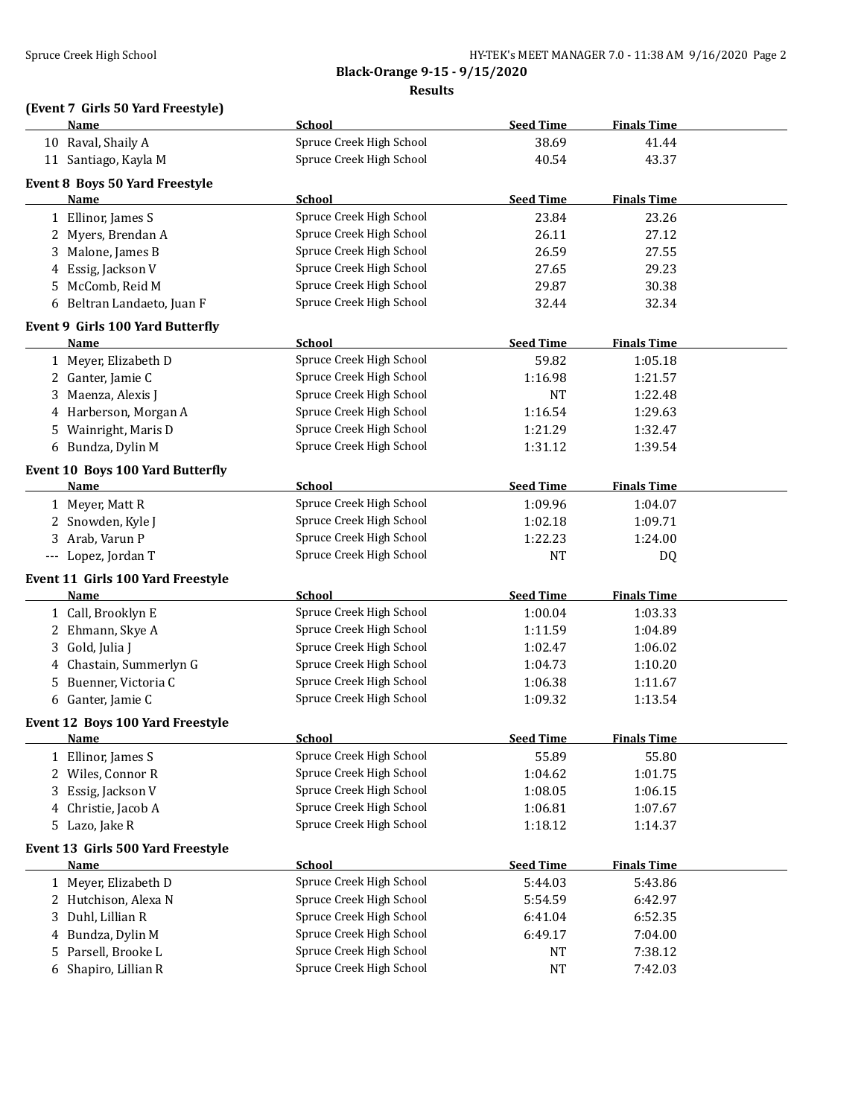**Black-Orange 9-15 - 9/15/2020 Results**

## **(Event 7 Girls 50 Yard Freestyle)**

| Name                |                                         | <b>School</b>            | <b>Seed Time</b> | <b>Finals Time</b> |  |
|---------------------|-----------------------------------------|--------------------------|------------------|--------------------|--|
| 10 Raval, Shaily A  |                                         | Spruce Creek High School | 38.69            | 41.44              |  |
|                     | 11 Santiago, Kayla M                    | Spruce Creek High School | 40.54            | 43.37              |  |
|                     |                                         |                          |                  |                    |  |
|                     | <b>Event 8 Boys 50 Yard Freestyle</b>   |                          |                  |                    |  |
| Name                |                                         | School                   | <b>Seed Time</b> | <b>Finals Time</b> |  |
| 1 Ellinor, James S  |                                         | Spruce Creek High School | 23.84            | 23.26              |  |
|                     | 2 Myers, Brendan A                      | Spruce Creek High School | 26.11            | 27.12              |  |
| 3                   | Malone, James B                         | Spruce Creek High School | 26.59            | 27.55              |  |
| 4                   | Essig, Jackson V                        | Spruce Creek High School | 27.65            | 29.23              |  |
| 5.                  | McComb, Reid M                          | Spruce Creek High School | 29.87            | 30.38              |  |
|                     | 6 Beltran Landaeto, Juan F              | Spruce Creek High School | 32.44            | 32.34              |  |
|                     | Event 9 Girls 100 Yard Butterfly        |                          |                  |                    |  |
| Name                |                                         | School                   | <b>Seed Time</b> | <b>Finals Time</b> |  |
|                     | 1 Meyer, Elizabeth D                    | Spruce Creek High School | 59.82            | 1:05.18            |  |
| 2 Ganter, Jamie C   |                                         | Spruce Creek High School | 1:16.98          | 1:21.57            |  |
| 3                   | Maenza, Alexis J                        | Spruce Creek High School | <b>NT</b>        | 1:22.48            |  |
|                     | 4 Harberson, Morgan A                   | Spruce Creek High School | 1:16.54          | 1:29.63            |  |
|                     | 5 Wainright, Maris D                    | Spruce Creek High School | 1:21.29          | 1:32.47            |  |
|                     |                                         | Spruce Creek High School |                  |                    |  |
|                     | 6 Bundza, Dylin M                       |                          | 1:31.12          | 1:39.54            |  |
|                     | <b>Event 10 Boys 100 Yard Butterfly</b> |                          |                  |                    |  |
| Name                |                                         | School                   | <b>Seed Time</b> | <b>Finals Time</b> |  |
| 1 Meyer, Matt R     |                                         | Spruce Creek High School | 1:09.96          | 1:04.07            |  |
|                     | 2 Snowden, Kyle J                       | Spruce Creek High School | 1:02.18          | 1:09.71            |  |
| 3 Arab, Varun P     |                                         | Spruce Creek High School | 1:22.23          | 1:24.00            |  |
| --- Lopez, Jordan T |                                         | Spruce Creek High School | <b>NT</b>        | DQ                 |  |
|                     | Event 11 Girls 100 Yard Freestyle       |                          |                  |                    |  |
| <u>Name</u>         |                                         | <b>School</b>            | <b>Seed Time</b> | <b>Finals Time</b> |  |
|                     |                                         | Spruce Creek High School | 1:00.04          | 1:03.33            |  |
|                     | 1 Call, Brooklyn E                      |                          |                  |                    |  |
|                     | 2 Ehmann, Skye A                        | Spruce Creek High School | 1:11.59          | 1:04.89            |  |
| Gold, Julia J<br>3  |                                         | Spruce Creek High School | 1:02.47          | 1:06.02            |  |
|                     | 4 Chastain, Summerlyn G                 | Spruce Creek High School | 1:04.73          | 1:10.20            |  |
| 5                   | Buenner, Victoria C                     | Spruce Creek High School | 1:06.38          | 1:11.67            |  |
| 6 Ganter, Jamie C   |                                         | Spruce Creek High School | 1:09.32          | 1:13.54            |  |
|                     | Event 12 Boys 100 Yard Freestyle        |                          |                  |                    |  |
| <u>Name</u>         |                                         | <b>School</b>            | <b>Seed Time</b> | <b>Finals Time</b> |  |
| $\perp$             | Ellinor, James S                        | Spruce Creek High School | 55.89            | 55.80              |  |
|                     | 2 Wiles, Connor R                       | Spruce Creek High School | 1:04.62          | 1:01.75            |  |
| 3                   | Essig, Jackson V                        | Spruce Creek High School | 1:08.05          | 1:06.15            |  |
|                     | 4 Christie, Jacob A                     | Spruce Creek High School | 1:06.81          | 1:07.67            |  |
| 5 Lazo, Jake R      |                                         | Spruce Creek High School | 1:18.12          | 1:14.37            |  |
|                     |                                         |                          |                  |                    |  |
|                     | Event 13 Girls 500 Yard Freestyle       |                          |                  |                    |  |
| <b>Name</b>         |                                         | <b>School</b>            | <b>Seed Time</b> | <b>Finals Time</b> |  |
|                     | 1 Meyer, Elizabeth D                    | Spruce Creek High School | 5:44.03          | 5:43.86            |  |
|                     | 2 Hutchison, Alexa N                    | Spruce Creek High School | 5:54.59          | 6:42.97            |  |
| 3                   | Duhl, Lillian R                         | Spruce Creek High School | 6:41.04          | 6:52.35            |  |
| 4                   | Bundza, Dylin M                         | Spruce Creek High School | 6:49.17          | 7:04.00            |  |
| 5                   | Parsell, Brooke L                       | Spruce Creek High School | NT               | 7:38.12            |  |
|                     | 6 Shapiro, Lillian R                    | Spruce Creek High School | NT               | 7:42.03            |  |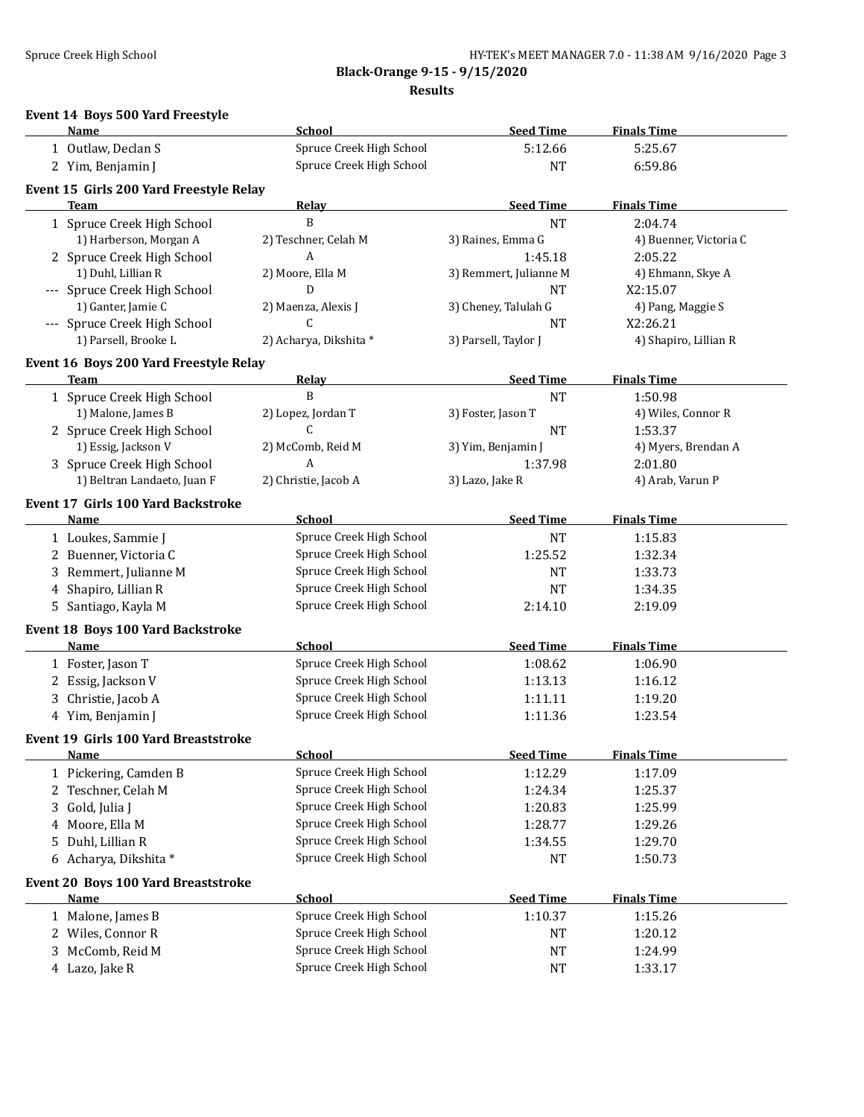**Black-Orange 9-15 - 9/15/2020**

**Results**

## **Event 14 Boys 500 Yard Freestyle**

|    | Name                                    | <b>School</b>            | <b>Seed Time</b>       | <b>Finals Time</b>     |
|----|-----------------------------------------|--------------------------|------------------------|------------------------|
|    | 1 Outlaw, Declan S                      | Spruce Creek High School | 5:12.66                | 5:25.67                |
|    | 2 Yim, Benjamin J                       | Spruce Creek High School | <b>NT</b>              | 6:59.86                |
|    | Event 15 Girls 200 Yard Freestyle Relay |                          |                        |                        |
|    | <b>Team</b>                             | <b>Relay</b>             | <b>Seed Time</b>       | <b>Finals Time</b>     |
|    | 1 Spruce Creek High School              | B                        | <b>NT</b>              | 2:04.74                |
|    | 1) Harberson, Morgan A                  | 2) Teschner, Celah M     | 3) Raines, Emma G      | 4) Buenner, Victoria C |
|    | 2 Spruce Creek High School              | A                        | 1:45.18                | 2:05.22                |
|    | 1) Duhl, Lillian R                      | 2) Moore, Ella M         | 3) Remmert, Julianne M | 4) Ehmann, Skye A      |
|    | --- Spruce Creek High School            | D                        | <b>NT</b>              | X2:15.07               |
|    | 1) Ganter, Jamie C                      | 2) Maenza, Alexis J      | 3) Cheney, Talulah G   | 4) Pang, Maggie S      |
|    | --- Spruce Creek High School            | C                        | <b>NT</b>              | X2:26.21               |
|    | 1) Parsell, Brooke L                    | 2) Acharya, Dikshita *   | 3) Parsell, Taylor J   | 4) Shapiro, Lillian R  |
|    | Event 16 Boys 200 Yard Freestyle Relay  |                          |                        |                        |
|    | <b>Team</b>                             | <b>Relay</b>             | <b>Seed Time</b>       | <b>Finals Time</b>     |
|    | 1 Spruce Creek High School              | B                        | <b>NT</b>              | 1:50.98                |
|    | 1) Malone, James B                      | 2) Lopez, Jordan T       | 3) Foster, Jason T     | 4) Wiles, Connor R     |
|    | 2 Spruce Creek High School              | С                        | <b>NT</b>              | 1:53.37                |
|    | 1) Essig, Jackson V                     | 2) McComb, Reid M        | 3) Yim, Benjamin J     | 4) Myers, Brendan A    |
|    | 3 Spruce Creek High School              | A                        | 1:37.98                | 2:01.80                |
|    | 1) Beltran Landaeto, Juan F             | 2) Christie, Jacob A     | 3) Lazo, Jake R        | 4) Arab, Varun P       |
|    |                                         |                          |                        |                        |
|    | Event 17 Girls 100 Yard Backstroke      |                          |                        |                        |
|    | Name                                    | <b>School</b>            | <b>Seed Time</b>       | <b>Finals Time</b>     |
|    | 1 Loukes, Sammie J                      | Spruce Creek High School | NT                     | 1:15.83                |
|    | 2 Buenner, Victoria C                   | Spruce Creek High School | 1:25.52                | 1:32.34                |
| 3. | Remmert, Julianne M                     | Spruce Creek High School | <b>NT</b>              | 1:33.73                |
| 4  | Shapiro, Lillian R                      | Spruce Creek High School | <b>NT</b>              | 1:34.35                |
|    | 5 Santiago, Kayla M                     | Spruce Creek High School | 2:14.10                | 2:19.09                |
|    | Event 18 Boys 100 Yard Backstroke       |                          |                        |                        |
|    | Name                                    | School                   | <b>Seed Time</b>       | <b>Finals Time</b>     |
|    | 1 Foster, Jason T                       | Spruce Creek High School | 1:08.62                | 1:06.90                |
|    | 2 Essig, Jackson V                      | Spruce Creek High School | 1:13.13                | 1:16.12                |
|    | 3 Christie, Jacob A                     | Spruce Creek High School | 1:11.11                | 1:19.20                |
|    | 4 Yim, Benjamin J                       | Spruce Creek High School | 1:11.36                | 1:23.54                |
|    | Event 19 Girls 100 Yard Breaststroke    |                          |                        |                        |
|    | <u>Name</u>                             | <u>School</u>            | <b>Seed Time</b>       | <b>Finals Time</b>     |
|    | 1 Pickering, Camden B                   | Spruce Creek High School | 1:12.29                | 1:17.09                |
|    | 2 Teschner, Celah M                     | Spruce Creek High School | 1:24.34                | 1:25.37                |
| 3. | Gold, Julia J                           | Spruce Creek High School | 1:20.83                | 1:25.99                |
| 4  | Moore, Ella M                           | Spruce Creek High School | 1:28.77                | 1:29.26                |
| 5. | Duhl, Lillian R                         | Spruce Creek High School | 1:34.55                | 1:29.70                |
|    |                                         | Spruce Creek High School |                        |                        |
|    | 6 Acharya, Dikshita *                   |                          | <b>NT</b>              | 1:50.73                |
|    | Event 20 Boys 100 Yard Breaststroke     |                          |                        |                        |
|    | <u>Name</u>                             | <b>School</b>            | <b>Seed Time</b>       | <b>Finals Time</b>     |
|    | 1 Malone, James B                       | Spruce Creek High School | 1:10.37                | 1:15.26                |
|    | 2 Wiles, Connor R                       | Spruce Creek High School | <b>NT</b>              | 1:20.12                |
| 3. | McComb, Reid M                          | Spruce Creek High School | $\rm{NT}$              | 1:24.99                |
|    | 4 Lazo, Jake R                          | Spruce Creek High School | NT                     | 1:33.17                |